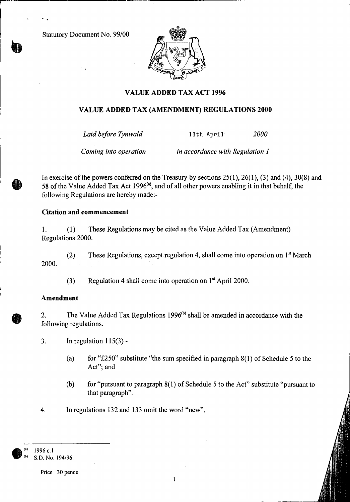Statutory Document No. 99/00



# **VALUE ADDED TAX ACT 1996**

## **VALUE ADDED TAX (AMENDMENT) REGULATIONS 2000**

*Laid before Tynwald* 11th April *2000* 

*Coming into operation in accordance with Regulation 1* 

In exercise of the powers conferred on the Treasury by sections 25(1), 26(1), (3) and (4), 30(8) and 58 of the Value Added Tax Act 1996<sup>(a)</sup>, and of all other powers enabling it in that behalf, the following Regulations are hereby made:-

## **Citation and commencement**

1. (1) These Regulations may be cited as the Value Added Tax (Amendment) Regulations 2000.

(2) These Regulations, except regulation 4, shall come into operation on 1<sup>st</sup> March 2000.

(3) Regulation 4 shall come into operation on 1" April 2000.

#### **Amendment**

 $\mathbf{v}$ 

2. The Value Added Tax Regulations 1996 $^{(b)}$  shall be amended in accordance with the following regulations.

3. In regulation  $115(3)$  -

- (a) for "£250" substitute "the sum specified in paragraph  $8(1)$  of Schedule 5 to the Act"; and
- (b) for "pursuant to paragraph 8(1) of Schedule 5 to the Act" substitute "pursuant to that paragraph".
- 4. In regulations 132 and 133 omit the word "new".

**®** 1996 c.1 S.D. No. 194/96.

Price 30 pence